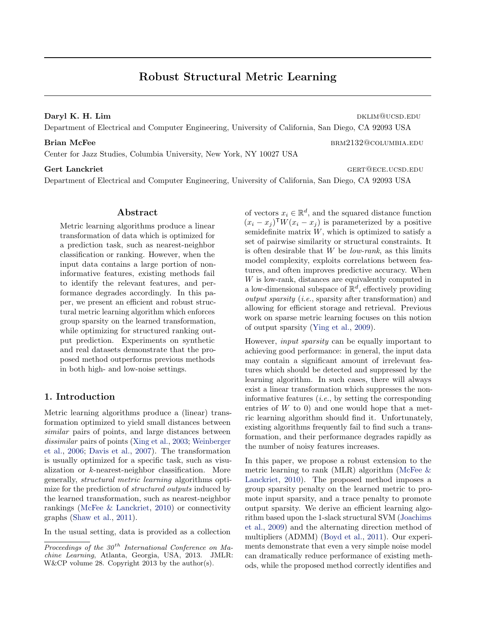# Robust Structural Metric Learning

Daryl K. H. Lim der and the set of the set of the set of the set of the set of the set of the set of the set of the set of the set of the set of the set of the set of the set of the set of the set of the set of the set of

Department of Electrical and Computer Engineering, University of California, San Diego, CA 92093 USA

#### Brian McFee BRM2132@COLUMBIA.EDU

Center for Jazz Studies, Columbia University, New York, NY 10027 USA

Gert Lanckriet Gert Lanckriet gerte gerte gerte gerte gerte gerte gerte gerte gerte gerte gerte gerte gerte g

Department of Electrical and Computer Engineering, University of California, San Diego, CA 92093 USA

# Abstract

Metric learning algorithms produce a linear transformation of data which is optimized for a prediction task, such as nearest-neighbor classification or ranking. However, when the input data contains a large portion of noninformative features, existing methods fail to identify the relevant features, and performance degrades accordingly. In this paper, we present an efficient and robust structural metric learning algorithm which enforces group sparsity on the learned transformation, while optimizing for structured ranking output prediction. Experiments on synthetic and real datasets demonstrate that the proposed method outperforms previous methods in both high- and low-noise settings.

# 1. Introduction

Metric learning algorithms produce a (linear) transformation optimized to yield small distances between similar pairs of points, and large distances between dissimilar pairs of points [\(Xing et al.,](#page-8-0) [2003;](#page-8-0) [Weinberger](#page-8-0) [et al.,](#page-8-0) [2006;](#page-8-0) [Davis et al.,](#page-8-0) [2007\)](#page-8-0). The transformation is usually optimized for a specific task, such as visualization or k-nearest-neighbor classification. More generally, structural metric learning algorithms optimize for the prediction of *structured outputs* induced by the learned transformation, such as nearest-neighbor rankings [\(McFee & Lanckriet,](#page-8-0) [2010\)](#page-8-0) or connectivity graphs [\(Shaw et al.,](#page-8-0) [2011\)](#page-8-0).

In the usual setting, data is provided as a collection

of vectors  $x_i \in \mathbb{R}^d$ , and the squared distance function  $(x_i - x_j)$ <sup>T</sup> $W(x_i - x_j)$  is parameterized by a positive semidefinite matrix  $W$ , which is optimized to satisfy a set of pairwise similarity or structural constraints. It is often desirable that  $W$  be *low-rank*, as this limits model complexity, exploits correlations between features, and often improves predictive accuracy. When W is low-rank, distances are equivalently computed in a low-dimensional subspace of  $\mathbb{R}^d$ , effectively providing output sparsity (i.e., sparsity after transformation) and allowing for efficient storage and retrieval. Previous work on sparse metric learning focuses on this notion of output sparsity [\(Ying et al.,](#page-8-0) [2009\)](#page-8-0).

However, input sparsity can be equally important to achieving good performance: in general, the input data may contain a significant amount of irrelevant features which should be detected and suppressed by the learning algorithm. In such cases, there will always exist a linear transformation which suppresses the noninformative features  $(i.e.,$  by setting the corresponding entries of  $W$  to 0) and one would hope that a metric learning algorithm should find it. Unfortunately, existing algorithms frequently fail to find such a transformation, and their performance degrades rapidly as the number of noisy features increases.

In this paper, we propose a robust extension to the metric learning to rank (MLR) algorithm (McFee  $\&$ [Lanckriet,](#page-8-0) [2010\)](#page-8-0). The proposed method imposes a group sparsity penalty on the learned metric to promote input sparsity, and a trace penalty to promote output sparsity. We derive an efficient learning algorithm based upon the 1-slack structural SVM [\(Joachims](#page-8-0) [et al.,](#page-8-0) [2009\)](#page-8-0) and the alternating direction method of multipliers (ADMM) [\(Boyd et al.,](#page-8-0) [2011\)](#page-8-0). Our experiments demonstrate that even a very simple noise model can dramatically reduce performance of existing methods, while the proposed method correctly identifies and

Proceedings of the  $30<sup>th</sup>$  International Conference on Machine Learning, Atlanta, Georgia, USA, 2013. JMLR: W&CP volume 28. Copyright 2013 by the author(s).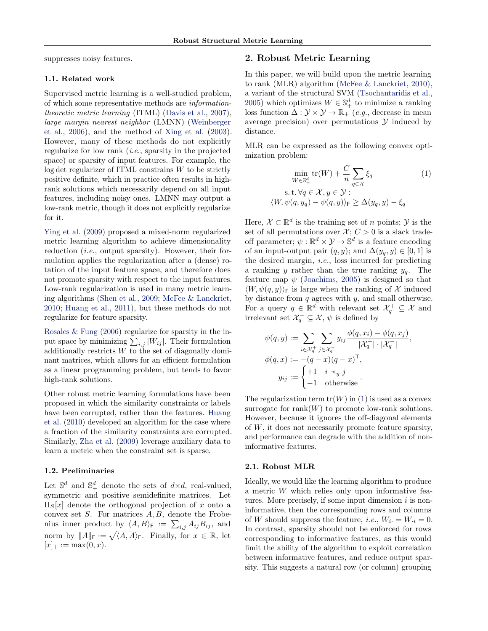suppresses noisy features.

# 1.1. Related work

Supervised metric learning is a well-studied problem, of which some representative methods are informationtheoretic metric learning (ITML) [\(Davis et al.,](#page-8-0) [2007\)](#page-8-0), large margin nearest neighbor (LMNN) [\(Weinberger](#page-8-0) [et al.,](#page-8-0) [2006\)](#page-8-0), and the method of [Xing et al.](#page-8-0) [\(2003\)](#page-8-0). However, many of these methods do not explicitly regularize for low rank (i.e., sparsity in the projected space) or sparsity of input features. For example, the log det regularizer of ITML constrains W to be strictly positive definite, which in practice often results in highrank solutions which necessarily depend on all input features, including noisy ones. LMNN may output a low-rank metric, though it does not explicitly regularize for it.

[Ying et al.](#page-8-0) [\(2009\)](#page-8-0) proposed a mixed-norm regularized metric learning algorithm to achieve dimensionality reduction *(i.e., output sparsity)*. However, their formulation applies the regularization after a (dense) rotation of the input feature space, and therefore does not promote sparsity with respect to the input features. Low-rank regularization is used in many metric learning algorithms [\(Shen et al.,](#page-8-0) [2009;](#page-8-0) [McFee & Lanckriet,](#page-8-0) [2010;](#page-8-0) [Huang et al.,](#page-8-0) [2011\)](#page-8-0), but these methods do not regularize for feature sparsity.

[Rosales & Fung](#page-8-0) [\(2006\)](#page-8-0) regularize for sparsity in the input space by minimizing  $\sum_{i,j} |W_{ij}|$ . Their formulation additionally restricts W to the set of diagonally dominant matrices, which allows for an efficient formulation as a linear programming problem, but tends to favor high-rank solutions.

Other robust metric learning formulations have been proposed in which the similarity constraints or labels have been corrupted, rather than the features. [Huang](#page-8-0) [et al.](#page-8-0) [\(2010\)](#page-8-0) developed an algorithm for the case where a fraction of the similarity constraints are corrupted. Similarly, [Zha et al.](#page-8-0) [\(2009\)](#page-8-0) leverage auxiliary data to learn a metric when the constraint set is sparse.

# 1.2. Preliminaries

Let  $\mathbb{S}^d$  and  $\mathbb{S}^d_+$  denote the sets of  $d \times d$ , real-valued, symmetric and positive semidefinite matrices. Let  $\Pi_S[x]$  denote the orthogonal projection of x onto a convex set  $S$ . For matrices  $A, B$ , denote the Frobenius inner product by  $\langle A, B \rangle_F := \sum_{i,j} A_{ij} B_{ij}$ , and norm by  $||A||_F := \sqrt{\langle A, A \rangle_F}$ . Finally, for  $x \in \mathbb{R}$ , let  $[x]_+ := \max(0, x).$ 

# 2. Robust Metric Learning

In this paper, we will build upon the metric learning to rank (MLR) algorithm [\(McFee & Lanckriet,](#page-8-0) [2010\)](#page-8-0), a variant of the structural SVM [\(Tsochantaridis et al.,](#page-8-0) [2005\)](#page-8-0) which optimizes  $W \in \mathbb{S}^d_+$  to minimize a ranking loss function  $\Delta : \mathcal{Y} \times \mathcal{Y} \to \mathbb{R}_{+}$  (e.g., decrease in mean average precision) over permutations  $\mathcal Y$  induced by distance.

MLR can be expressed as the following convex optimization problem:

$$
\min_{W \in \mathbb{S}_+^d} tr(W) + \frac{C}{n} \sum_{q \in \mathcal{X}} \xi_q
$$
\n
$$
\text{s.t. } \forall q \in \mathcal{X}, y \in \mathcal{Y}:
$$
\n
$$
\langle W, \psi(q, y_q) - \psi(q, y) \rangle_F \ge \Delta(y_q, y) - \xi_q
$$
\n
$$
(1)
$$

Here,  $\mathcal{X} \subset \mathbb{R}^d$  is the training set of *n* points;  $\mathcal{Y}$  is the set of all permutations over  $\mathcal{X}$ ;  $C > 0$  is a slack tradeoff parameter;  $\psi : \mathbb{R}^d \times \mathcal{Y} \to \mathbb{S}^d$  is a feature encoding of an input-output pair  $(q, y)$ ; and  $\Delta(y_q, y) \in [0, 1]$  is the desired margin, i.e., loss incurred for predicting a ranking y rather than the true ranking  $y_q$ . The feature map  $\psi$  [\(Joachims,](#page-8-0) [2005\)](#page-8-0) is designed so that  $\langle W, \psi(q, y) \rangle_F$  is large when the ranking of X induced by distance from  $q$  agrees with  $y$ , and small otherwise. For a query  $q \in \mathbb{R}^d$  with relevant set  $\mathcal{X}_q^+ \subseteq \mathcal{X}$  and irrelevant set  $\mathcal{X}_q^- \subseteq \mathcal{X}, \psi$  is defined by

$$
\psi(q, y) := \sum_{i \in \mathcal{X}_q^+} \sum_{j \in \mathcal{X}_q^-} y_{ij} \frac{\phi(q, x_i) - \phi(q, x_j)}{|\mathcal{X}_q^+| \cdot |\mathcal{X}_q^-|},
$$

$$
\phi(q, x) := -(q - x)(q - x)^{\mathsf{T}},
$$

$$
y_{ij} := \begin{cases} +1 & i \prec_y j \\ -1 & \text{otherwise} \end{cases}.
$$

The regularization term  $tr(W)$  in (1) is used as a convex surrogate for rank $(W)$  to promote low-rank solutions. However, because it ignores the off-diagonal elements of  $W$ , it does not necessarily promote feature sparsity, and performance can degrade with the addition of noninformative features.

#### 2.1. Robust MLR

Ideally, we would like the learning algorithm to produce a metric W which relies only upon informative features. More precisely, if some input dimension  $i$  is noninformative, then the corresponding rows and columns of W should suppress the feature, *i.e.*,  $W_i = W_{i} = 0$ . In contrast, sparsity should not be enforced for rows corresponding to informative features, as this would limit the ability of the algorithm to exploit correlation between informative features, and reduce output sparsity. This suggests a natural row (or column) grouping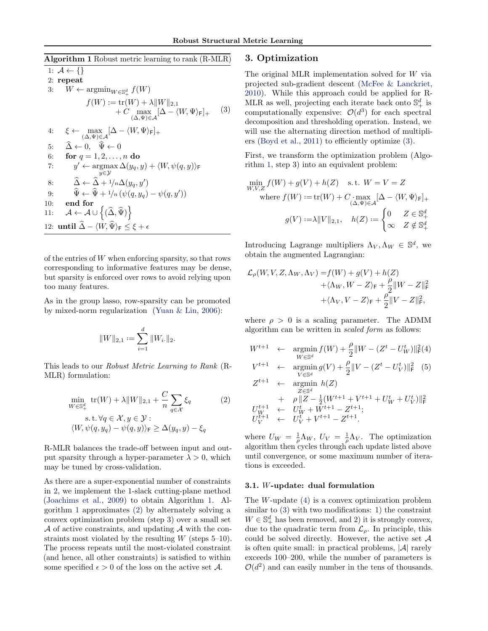<span id="page-2-0"></span>Algorithm 1 Robust metric learning to rank (R-MLR)

1: 
$$
A \leftarrow \{\}
$$
  
\n2: repeat  
\n3:  $W \leftarrow \operatorname{argmin}_{W \in \mathbb{S}_+^d} f(W)$   
\n $f(W) := \operatorname{tr}(W) + \lambda \|W\|_{2,1}$   
\n $+ C \max_{(\Delta, \Psi) \in \mathcal{A}} [\Delta - \langle W, \Psi \rangle_{\mathsf{F}}]_+$  (3)  
\n4:  $\xi \leftarrow \max_{(\Delta, \Psi) \in \mathcal{A}} [\Delta - \langle W, \Psi \rangle_{\mathsf{F}}]_+$   
\n5:  $\widehat{\Delta} \leftarrow 0, \widehat{\Psi} \leftarrow 0$   
\n6: for  $q = 1, 2, ..., n$  do  
\n7:  $y' \leftarrow \operatorname{argmax}_{y \in \mathcal{Y}} \Delta(y_q, y) + \langle W, \psi(q, y) \rangle_{\mathsf{F}}$   
\n8:  $\widehat{\Delta} \leftarrow \widehat{\Delta} + 1/n \Delta(y_q, y')$   
\n9:  $\widehat{\Psi} \leftarrow \widehat{\Psi} + 1/n (\psi(q, y_q) - \psi(q, y'))$   
\n10: end for  
\n11:  $A \leftarrow A \cup \{(\widehat{\Delta}, \widehat{\Psi})\}$   
\n12: until  $\widehat{\Delta} - \langle W, \widehat{\Psi} \rangle_{\mathsf{F}} \leq \xi + \epsilon$ 

of the entries of W when enforcing sparsity, so that rows corresponding to informative features may be dense, but sparsity is enforced over rows to avoid relying upon too many features.

As in the group lasso, row-sparsity can be promoted by mixed-norm regularization [\(Yuan & Lin,](#page-8-0) [2006\)](#page-8-0):

$$
||W||_{2,1} := \sum_{i=1}^d ||W_{i\cdot}||_2.
$$

This leads to our Robust Metric Learning to Rank (R-MLR) formulation:

$$
\min_{W \in \mathbb{S}_+^d} \text{tr}(W) + \lambda \|W\|_{2,1} + \frac{C}{n} \sum_{q \in \mathcal{X}} \xi_q \tag{2}
$$
\n
$$
\text{s.t.} \forall q \in \mathcal{X}, y \in \mathcal{Y}:
$$
\n
$$
\langle W, \psi(q, y_q) - \psi(q, y) \rangle_{\mathsf{F}} \ge \Delta(y_q, y) - \xi_q
$$

R-MLR balances the trade-off between input and output sparsity through a hyper-parameter  $\lambda > 0$ , which may be tuned by cross-validation.

As there are a super-exponential number of constraints in 2, we implement the 1-slack cutting-plane method [\(Joachims et al.,](#page-8-0) [2009\)](#page-8-0) to obtain Algorithm 1. Algorithm 1 approximates (2) by alternately solving a convex optimization problem (step 3) over a small set  $\mathcal A$  of active constraints, and updating  $\mathcal A$  with the constraints most violated by the resulting  $W$  (steps 5–10). The process repeats until the most-violated constraint (and hence, all other constraints) is satisfied to within some specified  $\epsilon > 0$  of the loss on the active set A.

# 3. Optimization

The original MLR implementation solved for W via projected sub-gradient descent [\(McFee & Lanckriet,](#page-8-0) [2010\)](#page-8-0). While this approach could be applied for R-MLR as well, projecting each iterate back onto  $\mathbb{S}^d_+$  is computationally expensive:  $\mathcal{O}(d^3)$  for each spectral decomposition and thresholding operation. Instead, we will use the alternating direction method of multipliers [\(Boyd et al.,](#page-8-0) [2011\)](#page-8-0) to efficiently optimize (3).

First, we transform the optimization problem (Algorithm 1, step 3) into an equivalent problem:

$$
\min_{W,V,Z} f(W) + g(V) + h(Z) \quad \text{s.t.} \quad W = V = Z
$$
\n
$$
\text{where } f(W) := \text{tr}(W) + C \cdot \max_{(\Delta,\Psi) \in \mathcal{A}} [\Delta - \langle W, \Psi \rangle_{\mathsf{F}}]_+
$$
\n
$$
g(V) := \lambda \|V\|_{2,1}, \quad h(Z) := \begin{cases} 0 & Z \in \mathbb{S}_+^d \\ \infty & Z \notin \mathbb{S}_+^d \end{cases}
$$

Introducing Lagrange multipliers  $\Lambda_V, \Lambda_W \in \mathbb{S}^d$ , we obtain the augmented Lagrangian:

$$
\mathcal{L}_{\rho}(W, V, Z, \Lambda_W, \Lambda_V) = f(W) + g(V) + h(Z)
$$
  
+  $\langle \Lambda_W, W - Z \rangle_{\mathsf{F}} + \frac{\rho}{2} ||W - Z||_{\mathsf{F}}^2$   
+  $\langle \Lambda_V, V - Z \rangle_{\mathsf{F}} + \frac{\rho}{2} ||V - Z||_{\mathsf{F}}^2$ ,

where  $\rho > 0$  is a scaling parameter. The ADMM algorithm can be written in scaled form as follows:

$$
W^{t+1} \leftarrow \mathop{\rm argmin}_{W \in \mathbb{S}^d} f(W) + \frac{\rho}{2} \|W - (Z^t - U^t_W)\|_{\mathsf{F}}^2(4)
$$

$$
V^{t+1} \leftarrow \mathop{\rm argmin}_{V \in \mathbb{S}^d} g(V) + \frac{\rho}{2} \| V - (Z^t - U^t_V) \|_{\mathsf{F}}^2 \tag{5}
$$

$$
Z^{t+1} \leftarrow \mathop{\rm argmin}_{Z \in \mathbb{S}^d} h(Z)
$$
  
+  $\rho \|Z - \frac{1}{2}(W^{t+1} + V^{t+1} + U_W^t + U_V^t)\|_F^2$   
 $U_W^{t+1} \leftarrow U_W^t + W^{t+1} - Z^{t+1};$   
 $U_V^{t+1} \leftarrow U_V^t + V^{t+1} - Z^{t+1}.$ 

where  $U_W = \frac{1}{\rho} \Lambda_W$ ,  $U_V = \frac{1}{\rho} \Lambda_V$ . The optimization algorithm then cycles through each update listed above until convergence, or some maximum number of iterations is exceeded.

#### 3.1. W-update: dual formulation

The W-update (4) is a convex optimization problem similar to  $(3)$  with two modifications: 1) the constraint  $W \in \mathbb{S}^d_+$  has been removed, and 2) it is strongly convex, due to the quadratic term from  $\mathcal{L}_{\rho}$ . In principle, this could be solved directly. However, the active set  $A$ is often quite small: in practical problems,  $|\mathcal{A}|$  rarely exceeds 100–200, while the number of parameters is  $\mathcal{O}(d^2)$  and can easily number in the tens of thousands.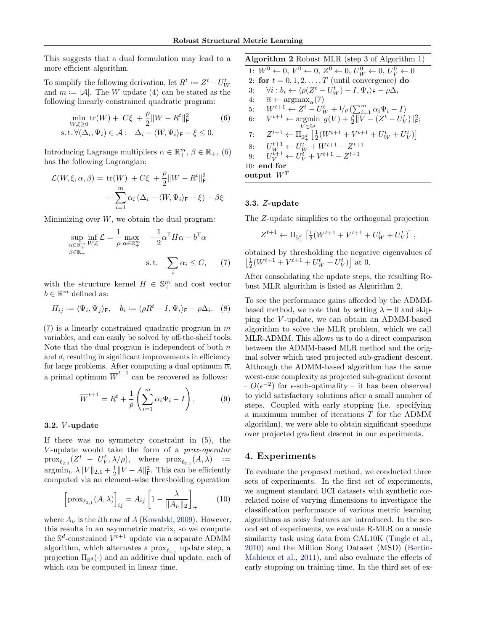This suggests that a dual formulation may lead to a more efficient algorithm.

To simplify the following derivation, let  $R^t := Z^t - U_W^t$ and  $m := |\mathcal{A}|$ . The W update [\(4\)](#page-2-0) can be stated as the following linearly constrained quadratic program:

$$
\min_{W,\xi \ge 0} \text{tr}(W) + C\xi + \frac{\rho}{2} \|W - R^t\|_{\text{F}}^2
$$
\n
$$
\text{s.t.} \forall (\Delta_i, \Psi_i) \in \mathcal{A}: \quad \Delta_i - \langle W, \Psi_i \rangle_{\text{F}} - \xi \le 0.
$$
\n(6)

Introducing Lagrange multipliers  $\alpha \in \mathbb{R}^m_+$ ,  $\beta \in \mathbb{R}_+$ , (6) has the following Lagrangian:

$$
\mathcal{L}(W,\xi,\alpha,\beta) = \text{tr}(W) + C\xi + \frac{\rho}{2} \|W - R^t\|_{\text{F}}^2
$$

$$
+ \sum_{i=1}^m \alpha_i (\Delta_i - \langle W, \Psi_i \rangle_{\text{F}} - \xi) - \beta \xi
$$

Minimizing over  $W$ , we obtain the dual program:

$$
\sup_{\substack{\alpha \in \mathbb{R}_+^m \\ \beta \in \mathbb{R}_+}} \inf_{W,\xi} \mathcal{L} = \frac{1}{\rho} \max_{\alpha \in \mathbb{R}_+^m} \quad -\frac{1}{2} \alpha^{\mathsf{T}} H \alpha - b^{\mathsf{T}} \alpha
$$
\n
$$
\text{s.t.} \quad \sum_i \alpha_i \le C, \qquad (7)
$$

with the structure kernel  $H \in \mathbb{S}_{+}^{m}$  and cost vector  $b \in \mathbb{R}^m$  defined as:

$$
H_{ij} := \langle \Psi_i, \Psi_j \rangle_{\mathsf{F}}, \quad b_i := \langle \rho R^t - I, \Psi_i \rangle_{\mathsf{F}} - \rho \Delta_i. \quad (8)
$$

 $(7)$  is a linearly constrained quadratic program in m variables, and can easily be solved by off-the-shelf tools. Note that the dual program is independent of both  $n$ and d, resulting in significant improvements in efficiency for large problems. After computing a dual optimum  $\overline{\alpha}$ , a primal optimum  $\overline{W}^{t+1}$  can be recovered as follows:

$$
\overline{W}^{t+1} = R^t + \frac{1}{\rho} \left( \sum_{i=1}^m \overline{\alpha}_i \Psi_i - I \right). \tag{9}
$$

# 3.2. V -update

If there was no symmetry constraint in [\(5\)](#page-2-0), the V -update would take the form of a prox-operator  $\mathrm{prox}_{\ell_{2,1}}(Z^t - U_V^t, \lambda/\rho), \text{ where } \mathrm{prox}_{\ell_{2,1}}(A, \lambda) \text{ := }$  $\operatorname{argmin}_V \lambda ||V||_{2,1} + \frac{1}{2} ||V - A||_F^2$ . This can be efficiently computed via an element-wise thresholding operation

$$
\left[\text{prox}_{\ell_{2,1}}(A,\lambda)\right]_{ij} = A_{ij} \left[1 - \frac{\lambda}{\|A_{i\cdot}\|_2}\right]_+\tag{10}
$$

where  $A_i$  is the *i*th row of  $A$  [\(Kowalski,](#page-8-0) [2009\)](#page-8-0). However, this results in an asymmetric matrix, so we compute the  $\mathbb{S}^d$ -constrained  $V^{t+1}$  update via a separate ADMM algorithm, which alternates a  $\text{prox}_{\ell_{2,1}}$  update step, a projection  $\Pi_{\mathbb{S}^d}(\cdot)$  and an additive dual update, each of which can be computed in linear time.

Algorithm 2 Robust MLR (step 3 of Algorithm [1\)](#page-2-0) 1:  $W^0 \leftarrow 0, V^0 \leftarrow 0, Z^0 \leftarrow 0, U_W^0 \leftarrow 0, U_V^0 \leftarrow 0$ 2: for  $t = 0, 1, 2, \ldots, T$  (until convergence) do 3:  $\forall i: b_i \leftarrow \langle \rho(Z^t - U_W^t) - I, \Psi_i \rangle_{\mathsf{F}} - \rho \Delta_i$ 4:  $\overline{\alpha} \leftarrow \argmax_{\alpha} (7)$ 5:  $W^{t+1} \leftarrow Z^t - U_W^t + \frac{1}{\rho} \left( \sum_{i=1}^m \overline{\alpha}_i \Psi_i - I \right)$ 6:  $V^{t+1} \leftarrow \text{argmin}$  $\operatorname*{rgmin}_{{V\in\mathbb{S}^d}} g(V) + \frac{\rho}{2} || V - (Z^t - U_V^t) ||^2_F;$ 7:  $Z^{t+1} \leftarrow \Pi_{\mathbb{S}_{+}^{d}} \left[ \frac{1}{2} (W^{t+1} + V^{t+1} + U_W^t + U_V^t) \right]$ 8:  $U_{W_{-1}}^{t+1} \leftarrow U_W^t + W_{-1}^{t+1} - Z^{t+1}$ 9:  $U_V^{t+1} \leftarrow U_V^t + V^{t+1} - Z^{t+1}$ 10: end for output  $W^T$ 

#### 3.3. Z-update

The Z-update simplifies to the orthogonal projection

$$
Z^{t+1} \leftarrow \Pi_{\mathbb{S}^d_+} \left[ \frac{1}{2} (W^{t+1} + V^{t+1} + U^t_W + U^t_V) \right],
$$

obtained by thresholding the negative eigenvalues of  $\left[\frac{1}{2}(W^{t+1} + V^{t+1} + U_W^t + U_V^t)\right]$  at 0.

After consolidating the update steps, the resulting Robust MLR algorithm is listed as Algorithm 2.

To see the performance gains afforded by the ADMMbased method, we note that by setting  $\lambda = 0$  and skipping the V -update, we can obtain an ADMM-based algorithm to solve the MLR problem, which we call MLR-ADMM. This allows us to do a direct comparison between the ADMM-based MLR method and the original solver which used projected sub-gradient descent. Although the ADMM-based algorithm has the same worst-case complexity as projected sub-gradient descent  $-O(\epsilon^{-2})$  for  $\epsilon$ -sub-optimality – it has been observed to yield satisfactory solutions after a small number of steps. Coupled with early stopping (i.e. specifying a maximum number of iterations T for the ADMM algorithm), we were able to obtain significant speedups over projected gradient descent in our experiments.

# 4. Experiments

To evaluate the proposed method, we conducted three sets of experiments. In the first set of experiments, we augment standard UCI datasets with synthetic correlated noise of varying dimensions to investigate the classification performance of various metric learning algorithms as noisy features are introduced. In the second set of experiments, we evaluate R-MLR on a music similarity task using data from CAL10K [\(Tingle et al.,](#page-8-0) [2010\)](#page-8-0) and the Million Song Dataset (MSD) [\(Bertin-](#page-8-0)[Mahieux et al.,](#page-8-0) [2011\)](#page-8-0), and also evaluate the effects of early stopping on training time. In the third set of ex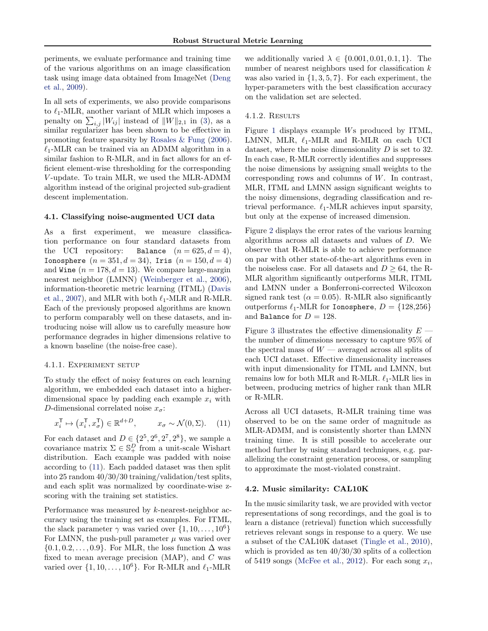<span id="page-4-0"></span>periments, we evaluate performance and training time of the various algorithms on an image classification task using image data obtained from ImageNet [\(Deng](#page-8-0) [et al.,](#page-8-0) [2009\)](#page-8-0).

In all sets of experiments, we also provide comparisons to  $\ell_1$ -MLR, another variant of MLR which imposes a penalty on  $\sum_{i,j} |W_{ij}|$  instead of  $||W||_{2,1}$  in [\(3\)](#page-2-0), as a similar regularizer has been shown to be effective in promoting feature sparsity by [Rosales & Fung](#page-8-0) [\(2006\)](#page-8-0).  $\ell_1$ -MLR can be trained via an ADMM algorithm in a similar fashion to R-MLR, and in fact allows for an efficient element-wise thresholding for the corresponding V -update. To train MLR, we used the MLR-ADMM algorithm instead of the original projected sub-gradient descent implementation.

# 4.1. Classifying noise-augmented UCI data

As a first experiment, we measure classification performance on four standard datasets from the UCI repository: Balance  $(n = 625, d = 4)$ , Ionosphere  $(n = 351, d = 34)$ , Iris  $(n = 150, d = 4)$ and Wine  $(n = 178, d = 13)$ . We compare large-margin nearest neighbor (LMNN) [\(Weinberger et al.,](#page-8-0) [2006\)](#page-8-0), information-theoretic metric learning (ITML) [\(Davis](#page-8-0) [et al.,](#page-8-0) [2007\)](#page-8-0), and MLR with both  $\ell_1$ -MLR and R-MLR. Each of the previously proposed algorithms are known to perform comparably well on these datasets, and introducing noise will allow us to carefully measure how performance degrades in higher dimensions relative to a known baseline (the noise-free case).

#### 4.1.1. Experiment setup

To study the effect of noisy features on each learning algorithm, we embedded each dataset into a higherdimensional space by padding each example  $x_i$  with D-dimensional correlated noise  $x_{\sigma}$ :

$$
x_i^{\mathsf{T}} \mapsto \left(x_i^{\mathsf{T}}, x_{\sigma}^{\mathsf{T}}\right) \in \mathbb{R}^{d+D}, \qquad x_{\sigma} \sim \mathcal{N}(0, \Sigma). \tag{11}
$$

For each dataset and  $D \in \{2^5, 2^6, 2^7, 2^8\}$ , we sample a covariance matrix  $\Sigma \in \mathbb{S}^D_+$  from a unit-scale Wishart distribution. Each example was padded with noise according to (11). Each padded dataset was then split into 25 random 40/30/30 training/validation/test splits, and each split was normalized by coordinate-wise zscoring with the training set statistics.

Performance was measured by k-nearest-neighbor accuracy using the training set as examples. For ITML, the slack parameter  $\gamma$  was varied over  $\{1, 10, \ldots, 10^6\}$ For LMNN, the push-pull parameter  $\mu$  was varied over  ${0.1, 0.2, \ldots, 0.9}$ . For MLR, the loss function  $\Delta$  was fixed to mean average precision  $(MAP)$ , and C was varied over  $\{1, 10, \ldots, 10^6\}$ . For R-MLR and  $\ell_1$ -MLR

we additionally varied  $\lambda \in \{0.001, 0.01, 0.1, 1\}$ . The number of nearest neighbors used for classification k was also varied in  $\{1, 3, 5, 7\}$ . For each experiment, the hyper-parameters with the best classification accuracy on the validation set are selected.

#### 4.1.2. RESULTS

Figure [1](#page-5-0) displays example Ws produced by ITML, LMNN, MLR,  $\ell_1$ -MLR and R-MLR on each UCI dataset, where the noise dimensionality D is set to 32. In each case, R-MLR correctly identifies and suppresses the noise dimensions by assigning small weights to the corresponding rows and columns of W. In contrast, MLR, ITML and LMNN assign significant weights to the noisy dimensions, degrading classification and retrieval performance.  $\ell_1$ -MLR achieves input sparsity, but only at the expense of increased dimension.

Figure [2](#page-6-0) displays the error rates of the various learning algorithms across all datasets and values of D. We observe that R-MLR is able to achieve performance on par with other state-of-the-art algorithms even in the noiseless case. For all datasets and  $D > 64$ , the R-MLR algorithm significantly outperforms MLR, ITML and LMNN under a Bonferroni-corrected Wilcoxon signed rank test ( $\alpha = 0.05$ ). R-MLR also significantly outperforms  $\ell_1$ -MLR for Ionosphere,  $D = \{128,256\}$ and Balance for  $D = 128$ .

Figure [3](#page-6-0) illustrates the effective dimensionality  $E$ the number of dimensions necessary to capture 95% of the spectral mass of  $W$  — averaged across all splits of each UCI dataset. Effective dimensionality increases with input dimensionality for ITML and LMNN, but remains low for both MLR and R-MLR.  $\ell_1$ -MLR lies in between, producing metrics of higher rank than MLR or R-MLR.

Across all UCI datasets, R-MLR training time was observed to be on the same order of magnitude as MLR-ADMM, and is consistently shorter than LMNN training time. It is still possible to accelerate our method further by using standard techniques, e.g. parallelizing the constraint generation process, or sampling to approximate the most-violated constraint.

# 4.2. Music similarity: CAL10K

In the music similarity task, we are provided with vector representations of song recordings, and the goal is to learn a distance (retrieval) function which successfully retrieves relevant songs in response to a query. We use a subset of the CAL10K dataset [\(Tingle et al.,](#page-8-0) [2010\)](#page-8-0), which is provided as ten 40/30/30 splits of a collection of 5419 songs [\(McFee et al.,](#page-8-0) [2012\)](#page-8-0). For each song  $x_i$ ,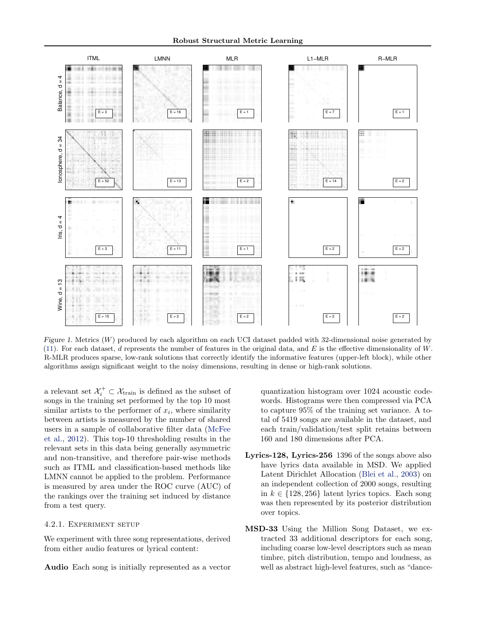<span id="page-5-0"></span>

Figure 1. Metrics (W) produced by each algorithm on each UCI dataset padded with 32-dimensional noise generated by [\(11\)](#page-4-0). For each dataset, d represents the number of features in the original data, and E is the effective dimensionality of W. R-MLR produces sparse, low-rank solutions that correctly identify the informative features (upper-left block), while other algorithms assign significant weight to the noisy dimensions, resulting in dense or high-rank solutions.

a relevant set  $\mathcal{X}_i^+ \subset \mathcal{X}_{\text{train}}$  is defined as the subset of songs in the training set performed by the top 10 most similar artists to the performer of  $x_i$ , where similarity between artists is measured by the number of shared users in a sample of collaborative filter data [\(McFee](#page-8-0) [et al.,](#page-8-0) [2012\)](#page-8-0). This top-10 thresholding results in the relevant sets in this data being generally asymmetric and non-transitive, and therefore pair-wise methods such as ITML and classification-based methods like LMNN cannot be applied to the problem. Performance is measured by area under the ROC curve (AUC) of the rankings over the training set induced by distance from a test query.

# 4.2.1. Experiment setup

We experiment with three song representations, derived from either audio features or lyrical content:

Audio Each song is initially represented as a vector

quantization histogram over 1024 acoustic codewords. Histograms were then compressed via PCA to capture 95% of the training set variance. A total of 5419 songs are available in the dataset, and each train/validation/test split retains between 160 and 180 dimensions after PCA.

- Lyrics-128, Lyrics-256 1396 of the songs above also have lyrics data available in MSD. We applied Latent Dirichlet Allocation [\(Blei et al.,](#page-8-0) [2003\)](#page-8-0) on an independent collection of 2000 songs, resulting in  $k \in \{128, 256\}$  latent lyrics topics. Each song was then represented by its posterior distribution over topics.
- MSD-33 Using the Million Song Dataset, we extracted 33 additional descriptors for each song, including coarse low-level descriptors such as mean timbre, pitch distribution, tempo and loudness, as well as abstract high-level features, such as "dance-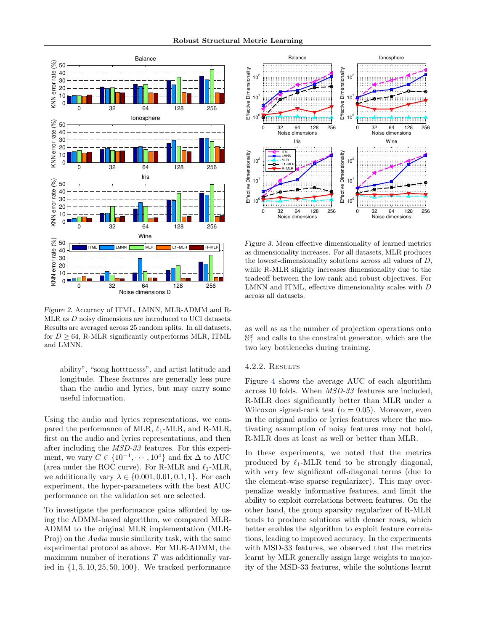<span id="page-6-0"></span>

Figure 2. Accuracy of ITML, LMNN, MLR-ADMM and R-MLR as D noisy dimensions are introduced to UCI datasets. Results are averaged across 25 random splits. In all datasets, for  $D > 64$ , R-MLR significantly outperforms MLR, ITML and LMNN.

ability", "song hotttnesss", and artist latitude and longitude. These features are generally less pure than the audio and lyrics, but may carry some useful information.

Using the audio and lyrics representations, we compared the performance of MLR,  $\ell_1$ -MLR, and R-MLR, first on the audio and lyrics representations, and then after including the MSD-33 features. For this experiment, we vary  $C \in \{10^{-1}, \dots, 10^4\}$  and fix  $\Delta$  to AUC (area under the ROC curve). For R-MLR and  $\ell_1$ -MLR, we additionally vary  $\lambda \in \{0.001, 0.01, 0.1, 1\}$ . For each experiment, the hyper-parameters with the best AUC performance on the validation set are selected.

To investigate the performance gains afforded by using the ADMM-based algorithm, we compared MLR-ADMM to the original MLR implementation (MLR-Proj) on the Audio music similarity task, with the same experimental protocol as above. For MLR-ADMM, the maximum number of iterations  $T$  was additionally varied in {1, 5, 10, 25, 50, 100}. We tracked performance



Figure 3. Mean effective dimensionality of learned metrics as dimensionality increases. For all datasets, MLR produces the lowest-dimensionality solutions across all values of D, while R-MLR slightly increases dimensionality due to the tradeoff between the low-rank and robust objectives. For LMNN and ITML, effective dimensionality scales with D across all datasets.

as well as as the number of projection operations onto  $\mathbb{S}^{d}_{+}$  and calls to the constraint generator, which are the two key bottlenecks during training.

# 4.2.2. Results

Figure [4](#page-7-0) shows the average AUC of each algorithm across 10 folds. When MSD-33 features are included, R-MLR does significantly better than MLR under a Wilcoxon signed-rank test ( $\alpha = 0.05$ ). Moreover, even in the original audio or lyrics features where the motivating assumption of noisy features may not hold, R-MLR does at least as well or better than MLR.

In these experiments, we noted that the metrics produced by  $\ell_1$ -MLR tend to be strongly diagonal, with very few significant off-diagonal terms (due to the element-wise sparse regularizer). This may overpenalize weakly informative features, and limit the ability to exploit correlations between features. On the other hand, the group sparsity regularizer of R-MLR tends to produce solutions with denser rows, which better enables the algorithm to exploit feature correlations, leading to improved accuracy. In the experiments with MSD-33 features, we observed that the metrics learnt by MLR generally assign large weights to majority of the MSD-33 features, while the solutions learnt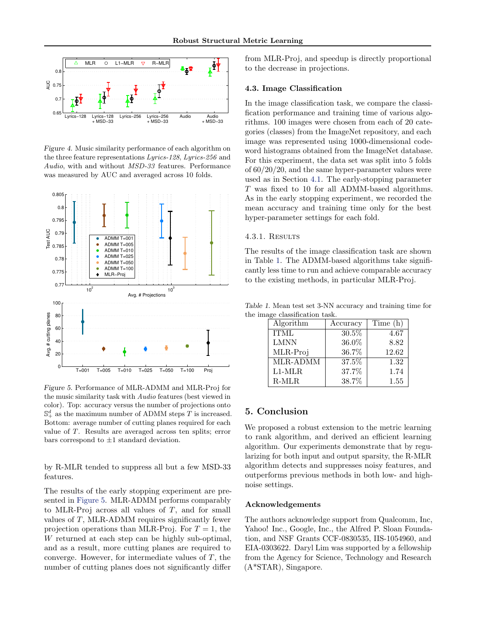<span id="page-7-0"></span>

Figure 4. Music similarity performance of each algorithm on the three feature representations Lyrics-128, Lyrics-256 and Audio, with and without MSD-33 features. Performance was measured by AUC and averaged across 10 folds.



Figure 5. Performance of MLR-ADMM and MLR-Proj for the music similarity task with Audio features (best viewed in color). Top: accuracy versus the number of projections onto  $\mathbb{S}^d_+$  as the maximum number of ADMM steps T is increased. Bottom: average number of cutting planes required for each value of T. Results are averaged across ten splits; error bars correspond to  $\pm 1$  standard deviation.

by R-MLR tended to suppress all but a few MSD-33 features.

The results of the early stopping experiment are presented in Figure 5. MLR-ADMM performs comparably to MLR-Proj across all values of T, and for small values of  $T$ , MLR-ADMM requires significantly fewer projection operations than MLR-Proj. For  $T = 1$ , the W returned at each step can be highly sub-optimal, and as a result, more cutting planes are required to converge. However, for intermediate values of T, the number of cutting planes does not significantly differ

from MLR-Proj, and speedup is directly proportional to the decrease in projections.

# 4.3. Image Classification

In the image classification task, we compare the classification performance and training time of various algorithms. 100 images were chosen from each of 20 categories (classes) from the ImageNet repository, and each image was represented using 1000-dimensional codeword histograms obtained from the ImageNet database. For this experiment, the data set was split into 5 folds of 60/20/20, and the same hyper-parameter values were used as in Section [4.1.](#page-4-0) The early-stopping parameter T was fixed to 10 for all ADMM-based algorithms. As in the early stopping experiment, we recorded the mean accuracy and training time only for the best hyper-parameter settings for each fold.

### 4.3.1. Results

The results of the image classification task are shown in Table 1. The ADMM-based algorithms take significantly less time to run and achieve comparable accuracy to the existing methods, in particular MLR-Proj.

Table 1. Mean test set 3-NN accuracy and training time for the image classification task.

| Algorithm   | Accuracy | Time (h) |
|-------------|----------|----------|
| <b>ITML</b> | 30.5%    | 4.67     |
| <b>LMNN</b> | 36.0%    | 8.82     |
| MLR-Proj    | 36.7%    | 12.62    |
| MLR-ADMM    | 37.5%    | 1.32     |
| $L1-MLR$    | 37.7%    | 1.74     |
| R-MLR       | 38.7%    | 1.55     |

# 5. Conclusion

We proposed a robust extension to the metric learning to rank algorithm, and derived an efficient learning algorithm. Our experiments demonstrate that by regularizing for both input and output sparsity, the R-MLR algorithm detects and suppresses noisy features, and outperforms previous methods in both low- and highnoise settings.

#### Acknowledgements

The authors acknowledge support from Qualcomm, Inc, Yahoo! Inc., Google, Inc., the Alfred P. Sloan Foundation, and NSF Grants CCF-0830535, IIS-1054960, and EIA-0303622. Daryl Lim was supported by a fellowship from the Agency for Science, Technology and Research (A\*STAR), Singapore.